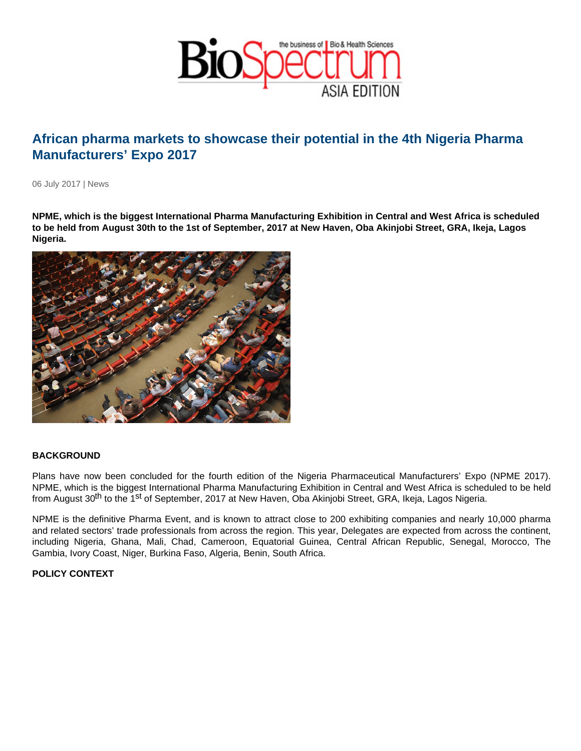## African pharma markets to showcase their potential in the 4th Nigeria Pharma Manufacturers' Expo 2017

06 July 2017 | News

NPME, which is the biggest International Pharma Manufacturing Exhibition in Central and West Africa is scheduled to be held from August 30th to the 1st of September, 2017 at New Haven, Oba Akinjobi Street, GRA, Ikeja, Lagos Nigeria.

## **BACKGROUND**

Plans have now been concluded for the fourth edition of the Nigeria Pharmaceutical Manufacturers' Expo (NPME 2017). NPME, which is the biggest International Pharma Manufacturing Exhibition in Central and West Africa is scheduled to be held from August 30<sup>th</sup> to the 1<sup>st</sup> of September, 2017 at New Haven, Oba Akinjobi Street, GRA, Ikeja, Lagos Nigeria.

NPME is the definitive Pharma Event, and is known to attract close to 200 exhibiting companies and nearly 10,000 pharma and related sectors' trade professionals from across the region. This year, Delegates are expected from across the continent, including Nigeria, Ghana, Mali, Chad, Cameroon, Equatorial Guinea, Central African Republic, Senegal, Morocco, The Gambia, Ivory Coast, Niger, Burkina Faso, Algeria, Benin, South Africa.

POLICY CONTEXT